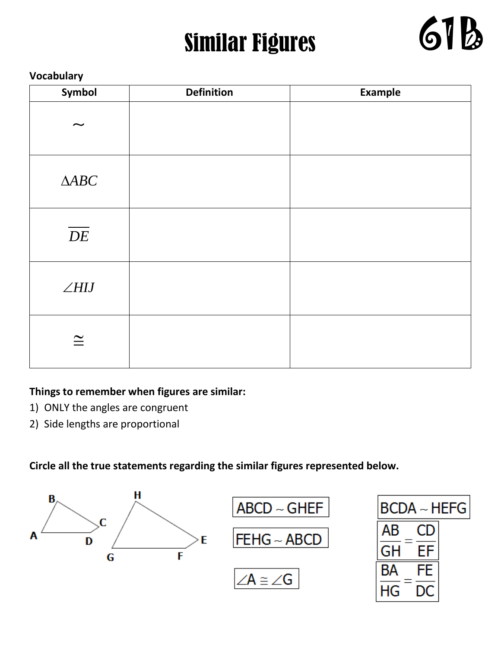# Similar Figures



#### **Vocabulary**

| Symbol                    | <b>Definition</b> | Example |
|---------------------------|-------------------|---------|
| $\widetilde{\phantom{m}}$ |                   |         |
| $\Delta\!ABC$             |                   |         |
| $\overline{DE}$           |                   |         |
| $\angle HIJ$              |                   |         |
| $\cong$                   |                   |         |

#### **Things to remember when figures are similar:**

- 1) ONLY the angles are congruent
- 2) Side lengths are proportional

**Circle all the true statements regarding the similar figures represented below.**

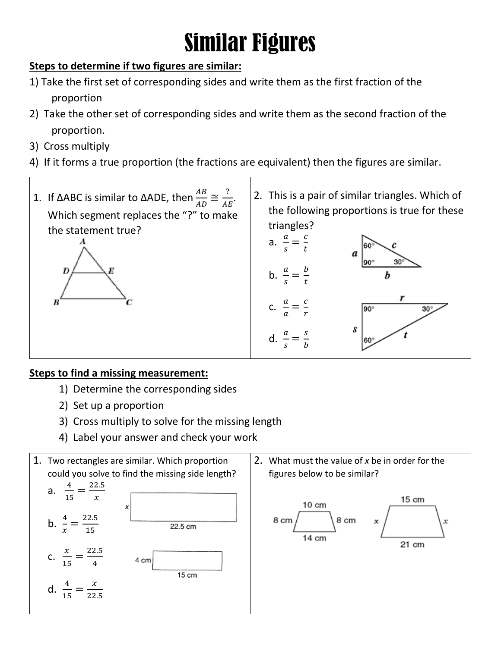# Similar Figures

### **Steps to determine if two figures are similar:**

- 1) Take the first set of corresponding sides and write them as the first fraction of the proportion
- 2) Take the other set of corresponding sides and write them as the second fraction of the proportion.
- 3) Cross multiply
- 4) If it forms a true proportion (the fractions are equivalent) then the figures are similar.



#### **Steps to find a missing measurement:**

- 1) Determine the corresponding sides
- 2) Set up a proportion
- 3) Cross multiply to solve for the missing length
- 4) Label your answer and check your work

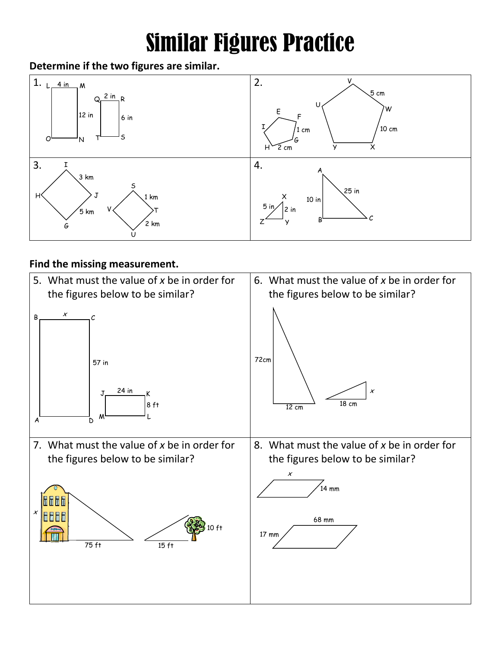# Similar Figures Practice

#### **Determine if the two figures are similar.**



#### **Find the missing measurement.**

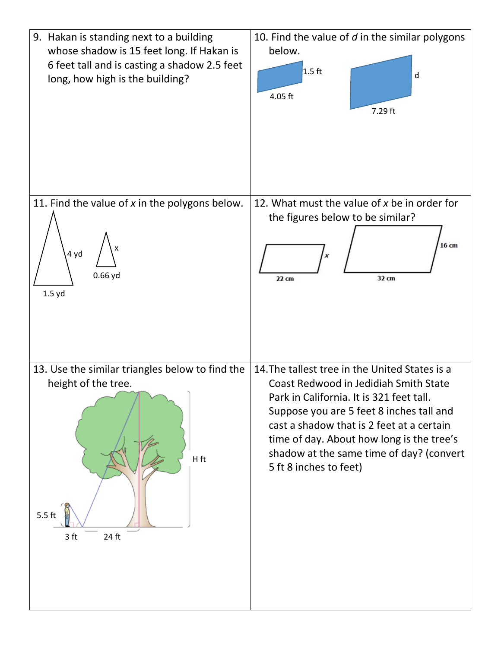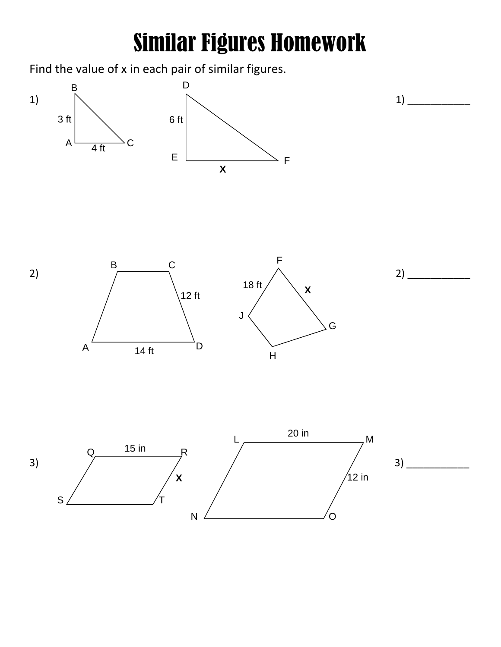### Similar Figures Homework

Find the value of x in each pair of similar figures.